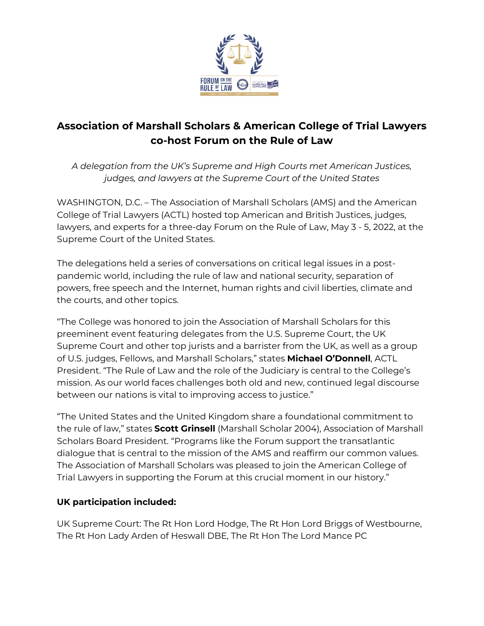

# **Association of Marshall Scholars & American College of Trial Lawyers co-host Forum on the Rule of Law**

*A delegation from the UK's Supreme and High Courts met American Justices, judges, and lawyers at the Supreme Court of the United States*

WASHINGTON, D.C. – The Association of Marshall Scholars (AMS) and the American College of Trial Lawyers (ACTL) hosted top American and British Justices, judges, lawyers, and experts for a three-day Forum on the Rule of Law, May 3 - 5, 2022, at the Supreme Court of the United States.

The delegations held a series of conversations on critical legal issues in a postpandemic world, including the rule of law and national security, separation of powers, free speech and the Internet, human rights and civil liberties, climate and the courts, and other topics.

"The College was honored to join the Association of Marshall Scholars for this preeminent event featuring delegates from the U.S. Supreme Court, the UK Supreme Court and other top jurists and a barrister from the UK, as well as a group of U.S. judges, Fellows, and Marshall Scholars," states **Michael O'Donnell**, ACTL President. "The Rule of Law and the role of the Judiciary is central to the College's mission. As our world faces challenges both old and new, continued legal discourse between our nations is vital to improving access to justice."

"The United States and the United Kingdom share a foundational commitment to the rule of law," states **Scott Grinsell** (Marshall Scholar 2004), Association of Marshall Scholars Board President. "Programs like the Forum support the transatlantic dialogue that is central to the mission of the AMS and reaffirm our common values. The Association of Marshall Scholars was pleased to join the American College of Trial Lawyers in supporting the Forum at this crucial moment in our history."

## **UK participation included:**

UK Supreme Court: The Rt Hon Lord Hodge, The Rt Hon Lord Briggs of Westbourne, The Rt Hon Lady Arden of Heswall DBE, The Rt Hon The Lord Mance PC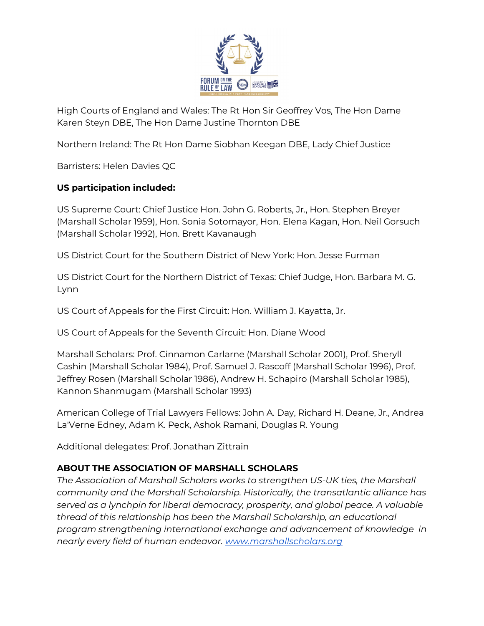

High Courts of England and Wales: The Rt Hon Sir Geoffrey Vos, The Hon Dame Karen Steyn DBE, The Hon Dame Justine Thornton DBE

Northern Ireland: The Rt Hon Dame Siobhan Keegan DBE, Lady Chief Justice

Barristers: Helen Davies QC

#### **US participation included:**

US Supreme Court: Chief Justice Hon. John G. Roberts, Jr., Hon. Stephen Breyer (Marshall Scholar 1959), Hon. Sonia Sotomayor, Hon. Elena Kagan, Hon. Neil Gorsuch (Marshall Scholar 1992), Hon. Brett Kavanaugh

US District Court for the Southern District of New York: Hon. Jesse Furman

US District Court for the Northern District of Texas: Chief Judge, Hon. Barbara M. G. Lynn

US Court of Appeals for the First Circuit: Hon. William J. Kayatta, Jr.

US Court of Appeals for the Seventh Circuit: Hon. Diane Wood

Marshall Scholars: Prof. Cinnamon Carlarne (Marshall Scholar 2001), Prof. Sheryll Cashin (Marshall Scholar 1984), Prof. Samuel J. Rascoff (Marshall Scholar 1996), Prof. Jeffrey Rosen (Marshall Scholar 1986), Andrew H. Schapiro (Marshall Scholar 1985), Kannon Shanmugam (Marshall Scholar 1993)

American College of Trial Lawyers Fellows: John A. Day, Richard H. Deane, Jr., Andrea La'Verne Edney, Adam K. Peck, Ashok Ramani, Douglas R. Young

Additional delegates: Prof. Jonathan Zittrain

## **ABOUT THE ASSOCIATION OF MARSHALL SCHOLARS**

*The Association of Marshall Scholars works to strengthen US-UK ties, the Marshall community and the Marshall Scholarship. Historically, the transatlantic alliance has served as a lynchpin for liberal democracy, prosperity, and global peace. A valuable thread of this relationship has been the Marshall Scholarship, an educational program strengthening international exchange and advancement of knowledge in nearly every field of human endeavor. [www.marshallscholars.org](http://www.marshallscholars.org/)*